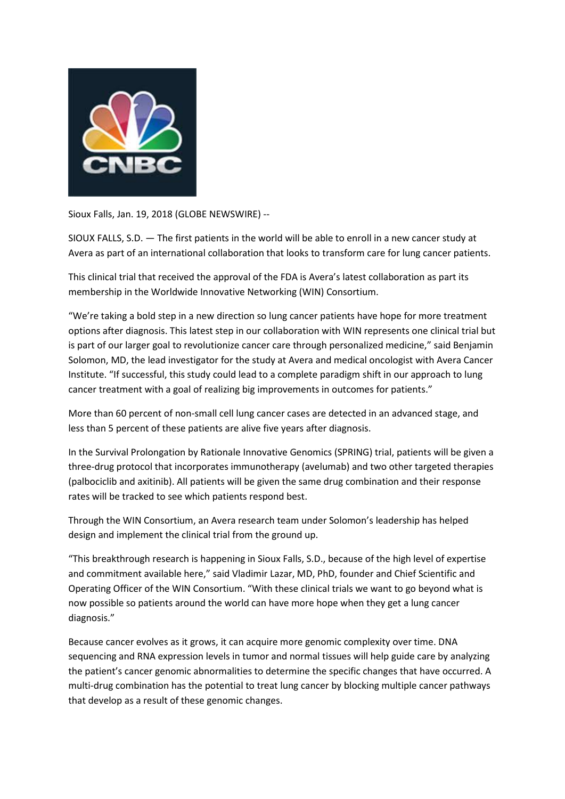

Sioux Falls, Jan. 19, 2018 (GLOBE NEWSWIRE) --

SIOUX FALLS, S.D. — The first patients in the world will be able to enroll in a new cancer study at Avera as part of an international collaboration that looks to transform care for lung cancer patients.

This clinical trial that received the approval of the FDA is Avera's latest collaboration as part its membership in the Worldwide Innovative Networking (WIN) Consortium.

"We're taking a bold step in a new direction so lung cancer patients have hope for more treatment options after diagnosis. This latest step in our collaboration with WIN represents one clinical trial but is part of our larger goal to revolutionize cancer care through personalized medicine," said Benjamin Solomon, MD, the lead investigator for the study at Avera and medical oncologist with Avera Cancer Institute. "If successful, this study could lead to a complete paradigm shift in our approach to lung cancer treatment with a goal of realizing big improvements in outcomes for patients."

More than 60 percent of non-small cell lung cancer cases are detected in an advanced stage, and less than 5 percent of these patients are alive five years after diagnosis.

In the Survival Prolongation by Rationale Innovative Genomics (SPRING) trial, patients will be given a three-drug protocol that incorporates immunotherapy (avelumab) and two other targeted therapies (palbociclib and axitinib). All patients will be given the same drug combination and their response rates will be tracked to see which patients respond best.

Through the WIN Consortium, an Avera research team under Solomon's leadership has helped design and implement the clinical trial from the ground up.

"This breakthrough research is happening in Sioux Falls, S.D., because of the high level of expertise and commitment available here," said Vladimir Lazar, MD, PhD, founder and Chief Scientific and Operating Officer of the WIN Consortium. "With these clinical trials we want to go beyond what is now possible so patients around the world can have more hope when they get a lung cancer diagnosis."

Because cancer evolves as it grows, it can acquire more genomic complexity over time. DNA sequencing and RNA expression levels in tumor and normal tissues will help guide care by analyzing the patient's cancer genomic abnormalities to determine the specific changes that have occurred. A multi-drug combination has the potential to treat lung cancer by blocking multiple cancer pathways that develop as a result of these genomic changes.